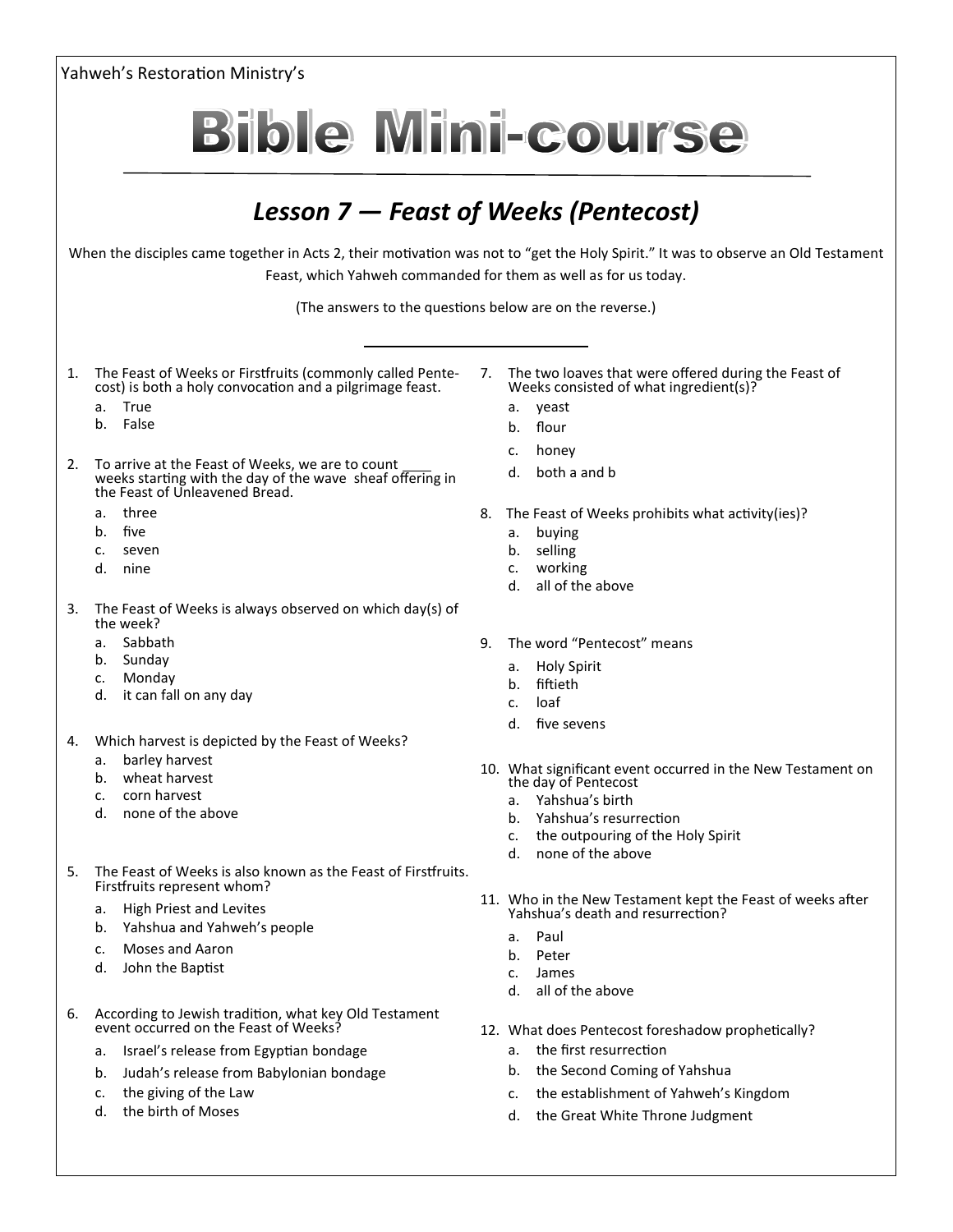Yahweh's Restoration Ministry's **Bible Mini-course** *Lesson 7 — Feast of Weeks (Pentecost)* When the disciples came together in Acts 2, their motivation was not to "get the Holy Spirit." It was to observe an Old Testament Feast, which Yahweh commanded for them as well as for us today. (The answers to the questions below are on the reverse.) 1. The Feast of Weeks or Firstfruits (commonly called Pente-7. The two loaves that were offered during the Feast of cost) is both a holy convocation and a pilgrimage feast. Weeks consisted of what ingredient(s)? a. yeast a. True b. False b. flour c. honey 2. To arrive at the Feast of Weeks, we are to count d. both a and b weeks starting with the day of the wave sheaf offering in the Feast of Unleavened Bread. a. three 8. The Feast of Weeks prohibits what activity(ies)? b. five a. buying c. seven b. selling c. working d. nine d. all of the above 3. The Feast of Weeks is always observed on which day(s) of the week? a. Sabbath 9. The word "Pentecost" means b. Sunday a. Holy Spirit c. Monday b. fiftieth d. it can fall on any day c. loaf d. five sevens 4. Which harvest is depicted by the Feast of Weeks? a. barley harvest 10. What significant event occurred in the New Testament on b. wheat harvest the day of Pentecost c. corn harvest a. Yahshua's birth d. none of the above b. Yahshua's resurrection c. the outpouring of the Holy Spirit d. none of the above 5. The Feast of Weeks is also known as the Feast of Firstfruits. Firstfruits represent whom? 11. Who in the New Testament kept the Feast of weeks after a. High Priest and Levites Yahshua's death and resurrection? b. Yahshua and Yahweh's people a. Paul c. Moses and Aaron b. Peter d. John the Baptist c. James d. all of the above 6. According to Jewish tradition, what key Old Testament event occurred on the Feast of Weeks? 12. What does Pentecost foreshadow prophetically? a. Israel's release from Egyptian bondage a. the first resurrection b. the Second Coming of Yahshua b. Judah's release from Babylonian bondage c. the giving of the Law c. the establishment of Yahweh's Kingdom d. the birth of Moses

d. the Great White Throne Judgment